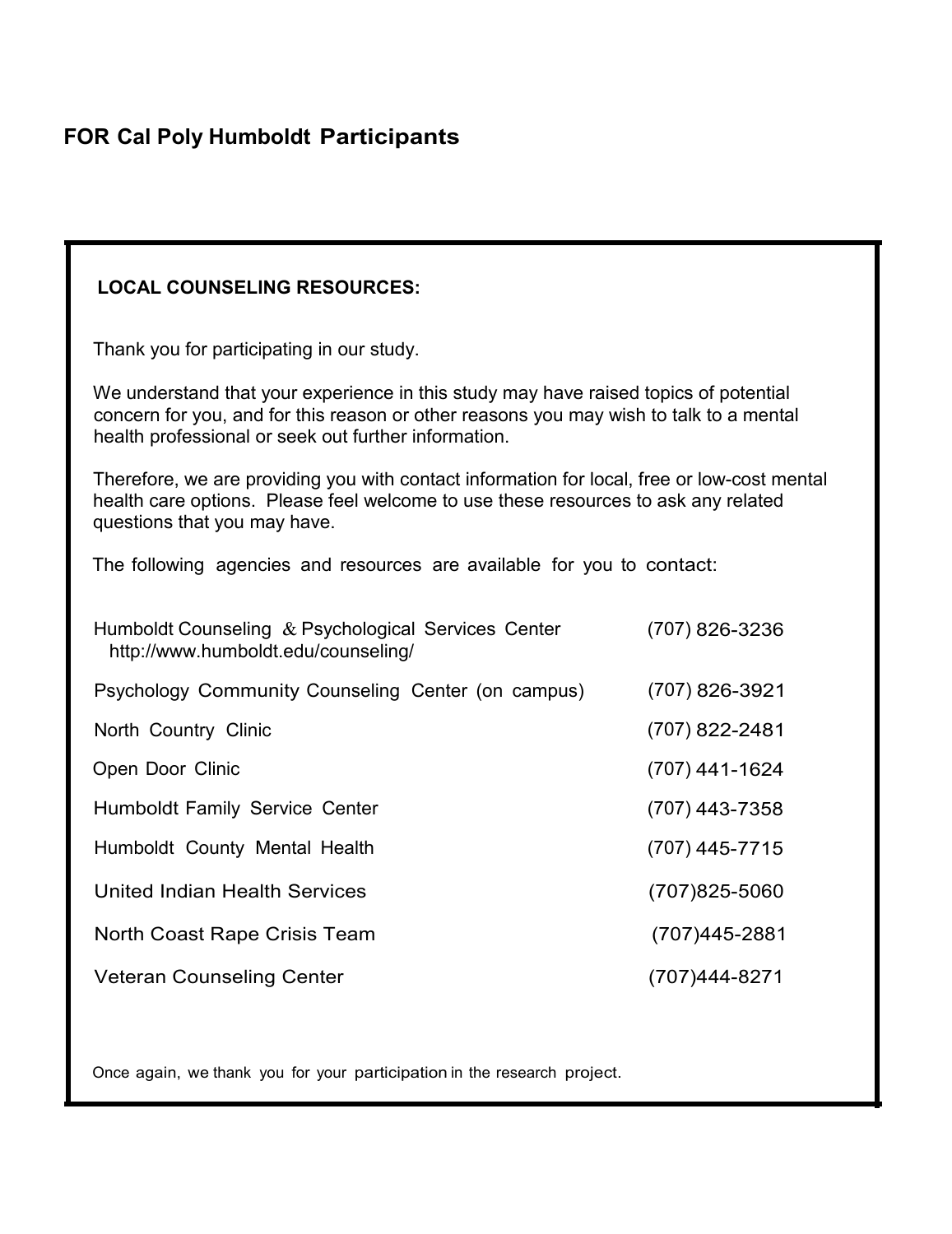## **LOCAL COUNSELING RESOURCES:**

Thank you for participating in our study.

We understand that your experience in this study may have raised topics of potential concern for you, and for this reason or other reasons you may wish to talk to a mental health professional or seek out further information.

Therefore, we are providing you with contact information for local, free or low-cost mental health care options. Please feel welcome to use these resources to ask any related questions that you may have.

The following agencies and resources are available for you to contact:

| Humboldt Counseling & Psychological Services Center<br>http://www.humboldt.edu/counseling/ | $(707)$ 826-3236  |
|--------------------------------------------------------------------------------------------|-------------------|
| Psychology Community Counseling Center (on campus)                                         | (707) 826-3921    |
| North Country Clinic                                                                       | $(707)$ 822-2481  |
| Open Door Clinic                                                                           | $(707)$ 441-1624  |
| <b>Humboldt Family Service Center</b>                                                      | $(707)$ 443-7358  |
| Humboldt County Mental Health                                                              | $(707)$ 445-7715  |
| United Indian Health Services                                                              | $(707)825 - 5060$ |
| North Coast Rape Crisis Team                                                               | (707)445-2881     |
| <b>Veteran Counseling Center</b>                                                           | (707)444-8271     |

Once again, we thank you for your participation in the research project.